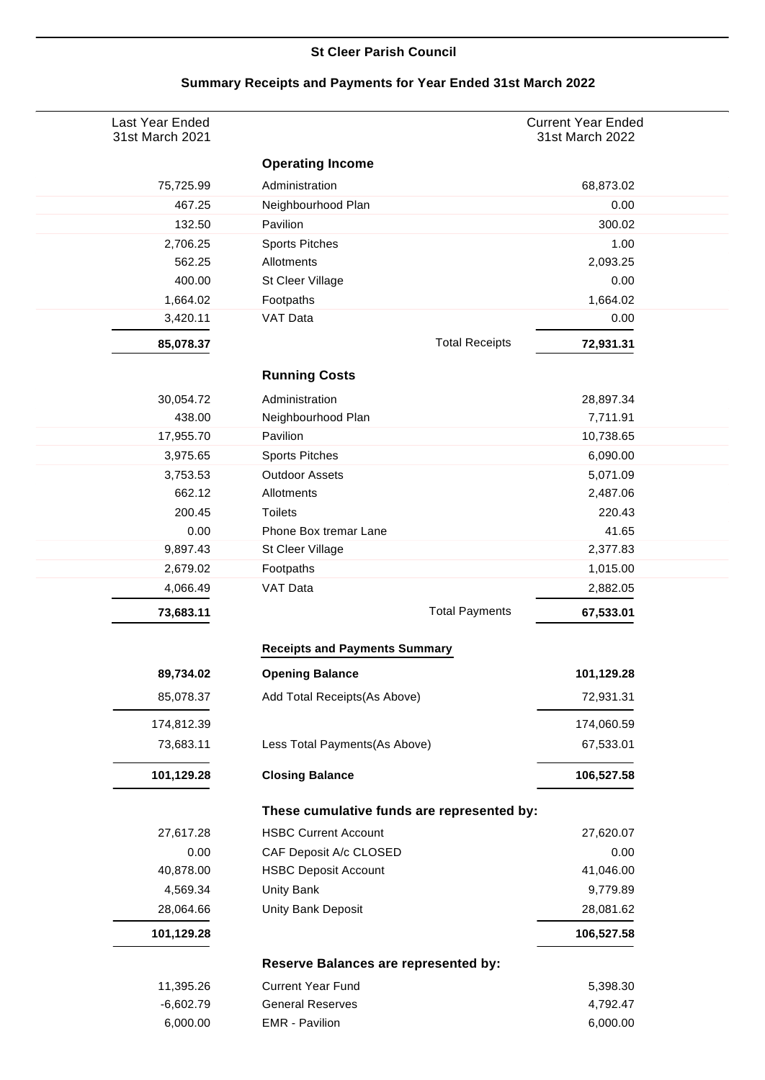## **St Cleer Parish Council**

| Last Year Ended<br>31st March 2021 |                                             | <b>Current Year Ended</b><br>31st March 2022 |
|------------------------------------|---------------------------------------------|----------------------------------------------|
|                                    | <b>Operating Income</b>                     |                                              |
| 75,725.99                          | Administration                              | 68,873.02                                    |
| 467.25                             | Neighbourhood Plan                          | 0.00                                         |
| 132.50                             | Pavilion                                    | 300.02                                       |
| 2,706.25                           | <b>Sports Pitches</b>                       | 1.00                                         |
| 562.25                             | Allotments                                  | 2,093.25                                     |
| 400.00                             | St Cleer Village                            | 0.00                                         |
| 1,664.02                           | Footpaths                                   | 1,664.02                                     |
| 3,420.11                           | VAT Data                                    | 0.00                                         |
| 85,078.37                          | <b>Total Receipts</b>                       | 72,931.31                                    |
|                                    | <b>Running Costs</b>                        |                                              |
| 30,054.72                          | Administration                              | 28,897.34                                    |
| 438.00                             | Neighbourhood Plan                          | 7,711.91                                     |
| 17,955.70                          | Pavilion                                    | 10,738.65                                    |
| 3,975.65                           | <b>Sports Pitches</b>                       | 6,090.00                                     |
| 3,753.53                           | <b>Outdoor Assets</b>                       | 5,071.09                                     |
| 662.12                             | Allotments                                  | 2,487.06                                     |
| 200.45                             | <b>Toilets</b>                              | 220.43                                       |
| 0.00                               | Phone Box tremar Lane                       | 41.65                                        |
| 9,897.43                           | St Cleer Village                            | 2,377.83                                     |
| 2,679.02                           | Footpaths                                   | 1,015.00                                     |
| 4,066.49                           | VAT Data                                    | 2,882.05                                     |
| 73,683.11                          | <b>Total Payments</b>                       | 67,533.01                                    |
|                                    | <b>Receipts and Payments Summary</b>        |                                              |
| 89,734.02                          | <b>Opening Balance</b>                      | 101,129.28                                   |
| 85,078.37                          | Add Total Receipts(As Above)                | 72,931.31                                    |
| 174,812.39                         |                                             | 174,060.59                                   |
| 73,683.11                          | Less Total Payments(As Above)               | 67,533.01                                    |
| 101,129.28                         | <b>Closing Balance</b>                      | 106,527.58                                   |
|                                    | These cumulative funds are represented by:  |                                              |
| 27,617.28                          | <b>HSBC Current Account</b>                 | 27,620.07                                    |
| 0.00                               | CAF Deposit A/c CLOSED                      | 0.00                                         |
| 40,878.00                          | <b>HSBC Deposit Account</b>                 | 41,046.00                                    |
| 4,569.34                           | Unity Bank                                  | 9,779.89                                     |
| 28,064.66                          | Unity Bank Deposit                          | 28,081.62                                    |
| 101,129.28                         |                                             | 106,527.58                                   |
|                                    | <b>Reserve Balances are represented by:</b> |                                              |
| 11,395.26                          | <b>Current Year Fund</b>                    | 5,398.30                                     |
| $-6,602.79$                        | <b>General Reserves</b>                     | 4,792.47                                     |
| 6,000.00                           | <b>EMR</b> - Pavilion                       | 6,000.00                                     |

## **Summary Receipts and Payments for Year Ended 31st March 2022**